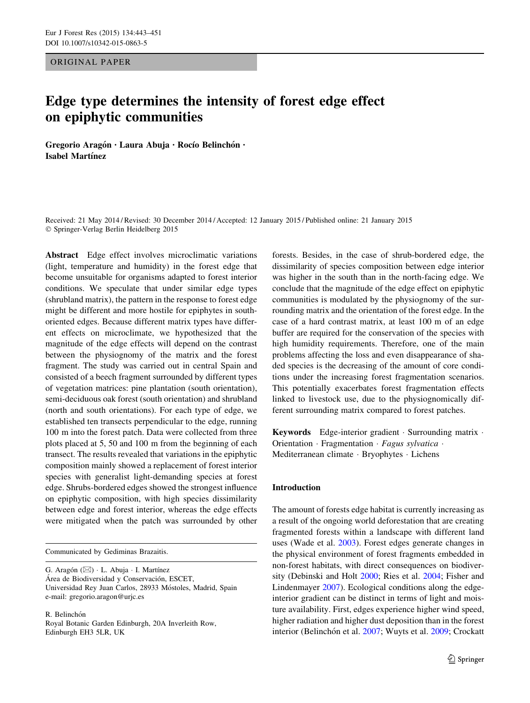ORIGINAL PAPER

# Edge type determines the intensity of forest edge effect on epiphytic communities

Gregorio Aragón · Laura Abuja · Rocío Belinchón · Isabel Martínez

Received: 21 May 2014 / Revised: 30 December 2014 / Accepted: 12 January 2015 / Published online: 21 January 2015 - Springer-Verlag Berlin Heidelberg 2015

Abstract Edge effect involves microclimatic variations (light, temperature and humidity) in the forest edge that become unsuitable for organisms adapted to forest interior conditions. We speculate that under similar edge types (shrubland matrix), the pattern in the response to forest edge might be different and more hostile for epiphytes in southoriented edges. Because different matrix types have different effects on microclimate, we hypothesized that the magnitude of the edge effects will depend on the contrast between the physiognomy of the matrix and the forest fragment. The study was carried out in central Spain and consisted of a beech fragment surrounded by different types of vegetation matrices: pine plantation (south orientation), semi-deciduous oak forest (south orientation) and shrubland (north and south orientations). For each type of edge, we established ten transects perpendicular to the edge, running 100 m into the forest patch. Data were collected from three plots placed at 5, 50 and 100 m from the beginning of each transect. The results revealed that variations in the epiphytic composition mainly showed a replacement of forest interior species with generalist light-demanding species at forest edge. Shrubs-bordered edges showed the strongest influence on epiphytic composition, with high species dissimilarity between edge and forest interior, whereas the edge effects were mitigated when the patch was surrounded by other

Communicated by Gediminas Brazaitis.

G. Aragón (⊠) · L. Abuja · I. Martínez Área de Biodiversidad y Conservación, ESCET, Universidad Rey Juan Carlos, 28933 Móstoles, Madrid, Spain e-mail: gregorio.aragon@urjc.es

R. Belinchón

Royal Botanic Garden Edinburgh, 20A Inverleith Row, Edinburgh EH3 5LR, UK

forests. Besides, in the case of shrub-bordered edge, the dissimilarity of species composition between edge interior was higher in the south than in the north-facing edge. We conclude that the magnitude of the edge effect on epiphytic communities is modulated by the physiognomy of the surrounding matrix and the orientation of the forest edge. In the case of a hard contrast matrix, at least 100 m of an edge buffer are required for the conservation of the species with high humidity requirements. Therefore, one of the main problems affecting the loss and even disappearance of shaded species is the decreasing of the amount of core conditions under the increasing forest fragmentation scenarios. This potentially exacerbates forest fragmentation effects linked to livestock use, due to the physiognomically different surrounding matrix compared to forest patches.

Keywords Edge-interior gradient · Surrounding matrix · Orientation · Fragmentation · Fagus sylvatica · Mediterranean climate - Bryophytes - Lichens

# Introduction

The amount of forests edge habitat is currently increasing as a result of the ongoing world deforestation that are creating fragmented forests within a landscape with different land uses (Wade et al. [2003](#page-8-0)). Forest edges generate changes in the physical environment of forest fragments embedded in non-forest habitats, with direct consequences on biodiversity (Debinski and Holt [2000](#page-8-0); Ries et al. [2004;](#page-8-0) Fisher and Lindenmayer [2007](#page-8-0)). Ecological conditions along the edgeinterior gradient can be distinct in terms of light and moisture availability. First, edges experience higher wind speed, higher radiation and higher dust deposition than in the forest interior (Belinchón et al. [2007;](#page-7-0) Wuyts et al. [2009](#page-8-0); Crockatt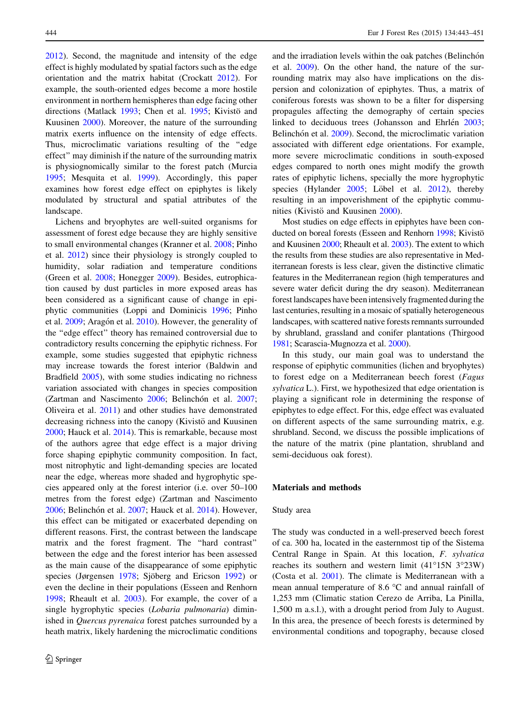[2012\)](#page-8-0). Second, the magnitude and intensity of the edge effect is highly modulated by spatial factors such as the edge orientation and the matrix habitat (Crockatt [2012](#page-8-0)). For example, the south-oriented edges become a more hostile environment in northern hemispheres than edge facing other directions (Matlack [1993](#page-8-0); Chen et al. [1995;](#page-8-0) Kivistö and Kuusinen [2000\)](#page-8-0). Moreover, the nature of the surrounding matrix exerts influence on the intensity of edge effects. Thus, microclimatic variations resulting of the ''edge effect'' may diminish if the nature of the surrounding matrix is physiognomically similar to the forest patch (Murcia [1995;](#page-8-0) Mesquita et al. [1999](#page-8-0)). Accordingly, this paper examines how forest edge effect on epiphytes is likely modulated by structural and spatial attributes of the landscape.

Lichens and bryophytes are well-suited organisms for assessment of forest edge because they are highly sensitive to small environmental changes (Kranner et al. [2008;](#page-8-0) Pinho et al. [2012\)](#page-8-0) since their physiology is strongly coupled to humidity, solar radiation and temperature conditions (Green et al. [2008;](#page-8-0) Honegger [2009\)](#page-8-0). Besides, eutrophication caused by dust particles in more exposed areas has been considered as a significant cause of change in epiphytic communities (Loppi and Dominicis [1996;](#page-8-0) Pinho et al. [2009](#page-8-0); Aragón et al. [2010](#page-7-0)). However, the generality of the ''edge effect'' theory has remained controversial due to contradictory results concerning the epiphytic richness. For example, some studies suggested that epiphytic richness may increase towards the forest interior (Baldwin and Bradfield [2005\)](#page-7-0), with some studies indicating no richness variation associated with changes in species composition (Zartman and Nascimento  $2006$ ; Belinchón et al.  $2007$ ; Oliveira et al. [2011\)](#page-8-0) and other studies have demonstrated decreasing richness into the canopy (Kivistö and Kuusinen [2000;](#page-8-0) Hauck et al. [2014](#page-8-0)). This is remarkable, because most of the authors agree that edge effect is a major driving force shaping epiphytic community composition. In fact, most nitrophytic and light-demanding species are located near the edge, whereas more shaded and hygrophytic species appeared only at the forest interior (i.e. over 50–100 metres from the forest edge) (Zartman and Nascimento [2006;](#page-8-0) Belinchón et al. [2007;](#page-7-0) Hauck et al. [2014](#page-8-0)). However, this effect can be mitigated or exacerbated depending on different reasons. First, the contrast between the landscape matrix and the forest fragment. The ''hard contrast'' between the edge and the forest interior has been assessed as the main cause of the disappearance of some epiphytic species (Jørgensen [1978](#page-8-0); Sjöberg and Ericson [1992](#page-8-0)) or even the decline in their populations (Esseen and Renhorn [1998;](#page-8-0) Rheault et al. [2003](#page-8-0)). For example, the cover of a single hygrophytic species (Lobaria pulmonaria) diminished in *Quercus pyrenaica* forest patches surrounded by a heath matrix, likely hardening the microclimatic conditions

and the irradiation levels within the oak patches (Belinchón et al. [2009](#page-7-0)). On the other hand, the nature of the surrounding matrix may also have implications on the dispersion and colonization of epiphytes. Thus, a matrix of coniferous forests was shown to be a filter for dispersing propagules affecting the demography of certain species linked to deciduous trees (Johansson and Ehrlén [2003](#page-8-0); Belinchón et al. [2009](#page-7-0)). Second, the microclimatic variation associated with different edge orientations. For example, more severe microclimatic conditions in south-exposed edges compared to north ones might modify the growth rates of epiphytic lichens, specially the more hygrophytic species (Hylander  $2005$ ; Löbel et al.  $2012$ ), thereby resulting in an impoverishment of the epiphytic commu-nities (Kivistö and Kuusinen [2000\)](#page-8-0).

Most studies on edge effects in epiphytes have been con-ducted on boreal forests (Esseen and Renhorn [1998;](#page-8-0) Kivistö and Kuusinen [2000;](#page-8-0) Rheault et al. [2003](#page-8-0)). The extent to which the results from these studies are also representative in Mediterranean forests is less clear, given the distinctive climatic features in the Mediterranean region (high temperatures and severe water deficit during the dry season). Mediterranean forest landscapes have been intensively fragmented during the last centuries, resulting in a mosaic of spatially heterogeneous landscapes, with scattered native forests remnants surrounded by shrubland, grassland and conifer plantations (Thirgood [1981;](#page-8-0) Scarascia-Mugnozza et al. [2000](#page-8-0)).

In this study, our main goal was to understand the response of epiphytic communities (lichen and bryophytes) to forest edge on a Mediterranean beech forest (Fagus sylvatica L.). First, we hypothesized that edge orientation is playing a significant role in determining the response of epiphytes to edge effect. For this, edge effect was evaluated on different aspects of the same surrounding matrix, e.g. shrubland. Second, we discuss the possible implications of the nature of the matrix (pine plantation, shrubland and semi-deciduous oak forest).

# Materials and methods

#### Study area

The study was conducted in a well-preserved beech forest of ca. 300 ha, located in the easternmost tip of the Sistema Central Range in Spain. At this location, F. sylvatica reaches its southern and western limit  $(41^{\circ}15N \ 3^{\circ}23W)$ (Costa et al. [2001](#page-8-0)). The climate is Mediterranean with a mean annual temperature of 8.6  $\degree$ C and annual rainfall of 1,253 mm (Climatic station Cerezo de Arriba, La Pinilla, 1,500 m a.s.l.), with a drought period from July to August. In this area, the presence of beech forests is determined by environmental conditions and topography, because closed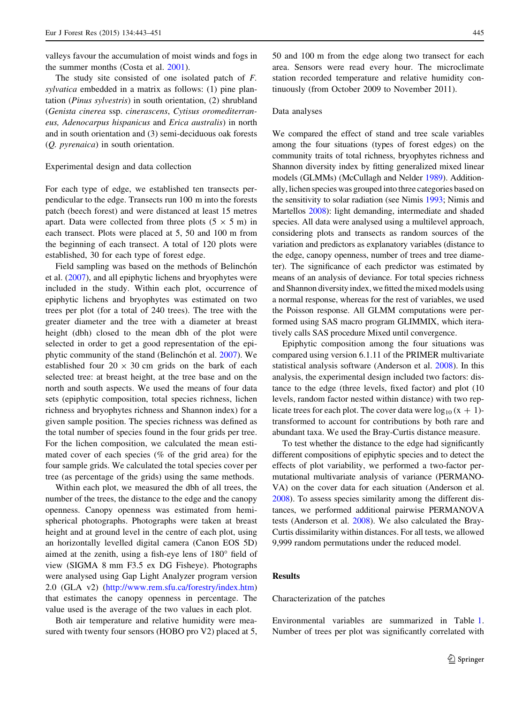valleys favour the accumulation of moist winds and fogs in the summer months (Costa et al. [2001](#page-8-0)).

The study site consisted of one isolated patch of F. sylvatica embedded in a matrix as follows: (1) pine plantation (Pinus sylvestris) in south orientation, (2) shrubland (Genista cinerea ssp. cinerascens, Cytisus oromediterraneus, Adenocarpus hispanicus and Erica australis) in north and in south orientation and (3) semi-deciduous oak forests (Q. pyrenaica) in south orientation.

#### Experimental design and data collection

For each type of edge, we established ten transects perpendicular to the edge. Transects run 100 m into the forests patch (beech forest) and were distanced at least 15 metres apart. Data were collected from three plots  $(5 \times 5 \text{ m})$  in each transect. Plots were placed at 5, 50 and 100 m from the beginning of each transect. A total of 120 plots were established, 30 for each type of forest edge.

Field sampling was based on the methods of Belinchón et al. ([2007\)](#page-7-0), and all epiphytic lichens and bryophytes were included in the study. Within each plot, occurrence of epiphytic lichens and bryophytes was estimated on two trees per plot (for a total of 240 trees). The tree with the greater diameter and the tree with a diameter at breast height (dbh) closed to the mean dbh of the plot were selected in order to get a good representation of the epi-phytic community of the stand (Belinchón et al. [2007\)](#page-7-0). We established four  $20 \times 30$  cm grids on the bark of each selected tree: at breast height, at the tree base and on the north and south aspects. We used the means of four data sets (epiphytic composition, total species richness, lichen richness and bryophytes richness and Shannon index) for a given sample position. The species richness was defined as the total number of species found in the four grids per tree. For the lichen composition, we calculated the mean estimated cover of each species (% of the grid area) for the four sample grids. We calculated the total species cover per tree (as percentage of the grids) using the same methods.

Within each plot, we measured the dbh of all trees, the number of the trees, the distance to the edge and the canopy openness. Canopy openness was estimated from hemispherical photographs. Photographs were taken at breast height and at ground level in the centre of each plot, using an horizontally levelled digital camera (Canon EOS 5D) aimed at the zenith, using a fish-eye lens of  $180^\circ$  field of view (SIGMA 8 mm F3.5 ex DG Fisheye). Photographs were analysed using Gap Light Analyzer program version 2.0 (GLA v2) [\(http://www.rem.sfu.ca/forestry/index.htm\)](http://www.rem.sfu.ca/forestry/index.htm) that estimates the canopy openness in percentage. The value used is the average of the two values in each plot.

Both air temperature and relative humidity were measured with twenty four sensors (HOBO pro V2) placed at 5, 50 and 100 m from the edge along two transect for each area. Sensors were read every hour. The microclimate station recorded temperature and relative humidity continuously (from October 2009 to November 2011).

## Data analyses

We compared the effect of stand and tree scale variables among the four situations (types of forest edges) on the community traits of total richness, bryophytes richness and Shannon diversity index by fitting generalized mixed linear models (GLMMs) (McCullagh and Nelder [1989\)](#page-8-0). Additionally, lichen species was grouped into three categories based on the sensitivity to solar radiation (see Nimis [1993;](#page-8-0) Nimis and Martellos [2008\)](#page-8-0): light demanding, intermediate and shaded species. All data were analysed using a multilevel approach, considering plots and transects as random sources of the variation and predictors as explanatory variables (distance to the edge, canopy openness, number of trees and tree diameter). The significance of each predictor was estimated by means of an analysis of deviance. For total species richness and Shannon diversity index, we fitted the mixed models using a normal response, whereas for the rest of variables, we used the Poisson response. All GLMM computations were performed using SAS macro program GLIMMIX, which iteratively calls SAS procedure Mixed until convergence.

Epiphytic composition among the four situations was compared using version 6.1.11 of the PRIMER multivariate statistical analysis software (Anderson et al. [2008](#page-7-0)). In this analysis, the experimental design included two factors: distance to the edge (three levels, fixed factor) and plot (10 levels, random factor nested within distance) with two replicate trees for each plot. The cover data were  $log_{10} (x + 1)$ transformed to account for contributions by both rare and abundant taxa. We used the Bray-Curtis distance measure.

To test whether the distance to the edge had significantly different compositions of epiphytic species and to detect the effects of plot variability, we performed a two-factor permutational multivariate analysis of variance (PERMANO-VA) on the cover data for each situation (Anderson et al. [2008\)](#page-7-0). To assess species similarity among the different distances, we performed additional pairwise PERMANOVA tests (Anderson et al. [2008](#page-7-0)). We also calculated the Bray-Curtis dissimilarity within distances. For all tests, we allowed 9,999 random permutations under the reduced model.

# Results

Characterization of the patches

Environmental variables are summarized in Table [1.](#page-3-0) Number of trees per plot was significantly correlated with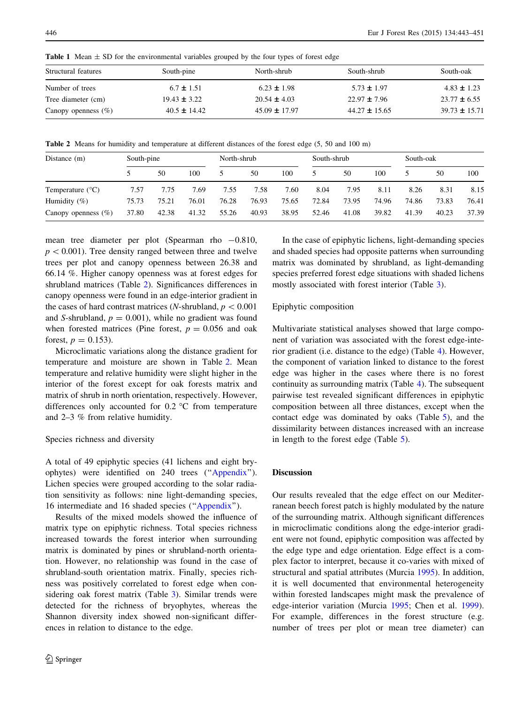| Structural features    | South-pine       | North-shrub       | South-shrub       | South-oak         |  |  |  |  |  |  |
|------------------------|------------------|-------------------|-------------------|-------------------|--|--|--|--|--|--|
| Number of trees        | $6.7 \pm 1.51$   | $6.23 \pm 1.98$   | $5.73 \pm 1.97$   | $4.83 \pm 1.23$   |  |  |  |  |  |  |
| Tree diameter (cm)     | $19.43 \pm 3.22$ | $20.54 \pm 4.03$  | $22.97 \pm 7.96$  | $23.77 \pm 6.55$  |  |  |  |  |  |  |
| Canopy openness $(\%)$ | $40.5 \pm 14.42$ | $45.09 \pm 17.97$ | $44.27 \pm 15.65$ | $39.73 \pm 15.71$ |  |  |  |  |  |  |

<span id="page-3-0"></span>**Table 1** Mean  $\pm$  SD for the environmental variables grouped by the four types of forest edge

Table 2 Means for humidity and temperature at different distances of the forest edge (5, 50 and 100 m)

| Distance $(m)$            | South-pine |       |       | North-shrub |       |       | South-shrub |       |       | South-oak |       |       |  |
|---------------------------|------------|-------|-------|-------------|-------|-------|-------------|-------|-------|-----------|-------|-------|--|
|                           |            | 50    | 100   |             | 50    | 100   |             | 50    | 100   |           | 50    | 100   |  |
| Temperature $(^{\circ}C)$ | 7.57       | 7.75  | 7.69  | 7.55        | 7.58  | 7.60  | 8.04        | 7.95  | 8.11  | 8.26      | 8.31  | 8.15  |  |
| Humidity $(\% )$          | 75.73      | 75.21 | 76.01 | 76.28       | 76.93 | 75.65 | 72.84       | 73.95 | 74.96 | 74.86     | 73.83 | 76.41 |  |
| Canopy openness $(\% )$   | 37.80      | 42.38 | 41.32 | 55.26       | 40.93 | 38.95 | 52.46       | 41.08 | 39.82 | 41.39     | 40.23 | 37.39 |  |

mean tree diameter per plot (Spearman rho  $-0.810$ ,  $p<0.001$ ). Tree density ranged between three and twelve trees per plot and canopy openness between 26.38 and 66.14 %. Higher canopy openness was at forest edges for shrubland matrices (Table 2). Significances differences in canopy openness were found in an edge-interior gradient in the cases of hard contrast matrices (N-shrubland,  $p < 0.001$ and S-shrubland,  $p = 0.001$ , while no gradient was found when forested matrices (Pine forest,  $p = 0.056$  and oak forest,  $p = 0.153$ ).

Microclimatic variations along the distance gradient for temperature and moisture are shown in Table 2. Mean temperature and relative humidity were slight higher in the interior of the forest except for oak forests matrix and matrix of shrub in north orientation, respectively. However, differences only accounted for  $0.2$  °C from temperature and 2–3 % from relative humidity.

## Species richness and diversity

A total of 49 epiphytic species (41 lichens and eight bryophytes) were identified on 240 trees ('['Appendix'](#page-6-0)'). Lichen species were grouped according to the solar radiation sensitivity as follows: nine light-demanding species, 16 intermediate and 16 shaded species ('['Appendix'](#page-6-0)').

Results of the mixed models showed the influence of matrix type on epiphytic richness. Total species richness increased towards the forest interior when surrounding matrix is dominated by pines or shrubland-north orientation. However, no relationship was found in the case of shrubland-south orientation matrix. Finally, species richness was positively correlated to forest edge when considering oak forest matrix (Table [3\)](#page-4-0). Similar trends were detected for the richness of bryophytes, whereas the Shannon diversity index showed non-significant differences in relation to distance to the edge.

In the case of epiphytic lichens, light-demanding species and shaded species had opposite patterns when surrounding matrix was dominated by shrubland, as light-demanding species preferred forest edge situations with shaded lichens mostly associated with forest interior (Table [3\)](#page-4-0).

#### Epiphytic composition

Multivariate statistical analyses showed that large component of variation was associated with the forest edge-interior gradient (i.e. distance to the edge) (Table [4\)](#page-5-0). However, the component of variation linked to distance to the forest edge was higher in the cases where there is no forest continuity as surrounding matrix (Table [4\)](#page-5-0). The subsequent pairwise test revealed significant differences in epiphytic composition between all three distances, except when the contact edge was dominated by oaks (Table [5](#page-5-0)), and the dissimilarity between distances increased with an increase in length to the forest edge (Table [5](#page-5-0)).

## **Discussion**

Our results revealed that the edge effect on our Mediterranean beech forest patch is highly modulated by the nature of the surrounding matrix. Although significant differences in microclimatic conditions along the edge-interior gradient were not found, epiphytic composition was affected by the edge type and edge orientation. Edge effect is a complex factor to interpret, because it co-varies with mixed of structural and spatial attributes (Murcia [1995\)](#page-8-0). In addition, it is well documented that environmental heterogeneity within forested landscapes might mask the prevalence of edge-interior variation (Murcia [1995](#page-8-0); Chen et al. [1999](#page-8-0)). For example, differences in the forest structure (e.g. number of trees per plot or mean tree diameter) can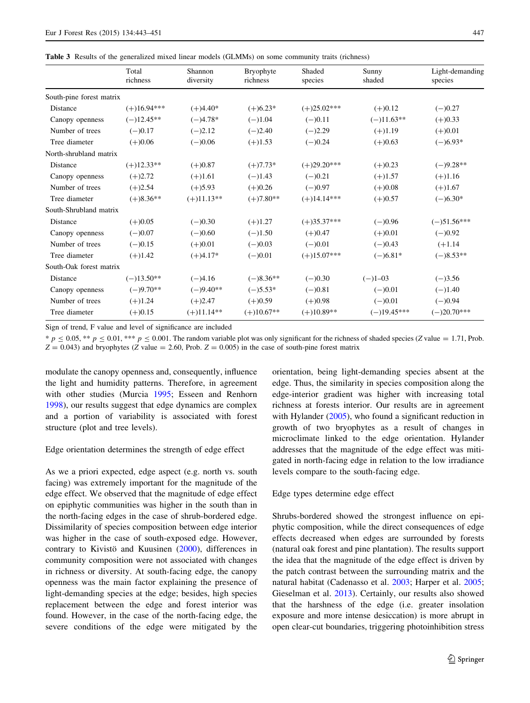<span id="page-4-0"></span>Table 3 Results of the generalized mixed linear models (GLMMs) on some community traits (richness)

|                          | Total<br>richness | Shannon<br>diversity | <b>Bryophyte</b><br>richness | Shaded<br>species | Sunny<br>shaded | Light-demanding<br>species |
|--------------------------|-------------------|----------------------|------------------------------|-------------------|-----------------|----------------------------|
| South-pine forest matrix |                   |                      |                              |                   |                 |                            |
| Distance                 | $(+)16.94***$     | $(+)4.40*$           | $(+)6.23*$                   | $(+)25.02***$     | $(+)0.12$       | $(-)0.27$                  |
| Canopy openness          | $(-)12.45**$      | $(-)4.78*$           | $(-)1.04$                    | $(-)0.11$         | $(-)11.63**$    | $(+)0.33$                  |
| Number of trees          | $(-)0.17$         | $(-)2.12$            | $(-)2.40$                    | $(-)2.29$         | $(+)1.19$       | $(+)0.01$                  |
| Tree diameter            | $(+)0.06$         | $(-)0.06$            | $(+)1.53$                    | $(-)0.24$         | $(+)0.63$       | $(-)6.93*$                 |
| North-shrubland matrix   |                   |                      |                              |                   |                 |                            |
| Distance                 | $(+)12.33**$      | $(+)0.87$            | $(+)7.73*$                   | $(+)29.20***$     | $(+)0.23$       | $(-)9.28**$                |
| Canopy openness          | $(+)2.72$         | $(+)1.61$            | $(-)1.43$                    | $(-)0.21$         | $(+)1.57$       | $(+)1.16$                  |
| Number of trees          | $(+)2.54$         | $(+)5.93$            | $(+)0.26$                    | $(-)0.97$         | $(+)0.08$       | $(+)1.67$                  |
| Tree diameter            | $(+)8.36**$       | $(+)11.13**$         | $(+)7.80**$                  | $(+)14.14***$     | $(+)0.57$       | $(-)6.30*$                 |
| South-Shrubland matrix   |                   |                      |                              |                   |                 |                            |
| Distance                 | $(+)0.05$         | $(-)0.30$            | $(+)1.27$                    | $(+)35.37***$     | $(-)0.96$       | $(-)51.56***$              |
| Canopy openness          | $(-)0.07$         | $(-)0.60$            | $(-)1.50$                    | $(+)0.47$         | $(+)0.01$       | $(-)0.92$                  |
| Number of trees          | $(-)0.15$         | $(+)0.01$            | $(-)0.03$                    | $(-)0.01$         | $(-)0.43$       | $(+1.14)$                  |
| Tree diameter            | $(+)1.42$         | $(+)4.17*$           | $(-)0.01$                    | $(+)15.07***$     | $(-)6.81*$      | $(-)8.53**$                |
| South-Oak forest matrix  |                   |                      |                              |                   |                 |                            |
| Distance                 | $(-)13.50**$      | $(-)4.16$            | $(-)8.36**$                  | $(-)0.30$         | $(-1)1-03$      | $(-)3.56$                  |
| Canopy openness          | $(-)9.70**$       | $(-)9.40**$          | $(-)5.53*$                   | $(-)0.81$         | $(-)0.01$       | $(-)1.40$                  |
| Number of trees          | $(+)1.24$         | $(+)2.47$            | $(+)0.59$                    | $(+)0.98$         | $(-)0.01$       | $(-)0.94$                  |
| Tree diameter            | $(+)0.15$         | $(+)11.14**$         | $(+)10.67**$                 | $(+)10.89**$      | $(-)19.45***$   | $(-)20.70***$              |

Sign of trend, F value and level of significance are included

\* p  $\leq 0.05$ , \*\* p  $\leq 0.01$ , \*\*\* p  $\leq 0.001$ . The random variable plot was only significant for the richness of shaded species (Z value = 1.71, Prob.  $Z = 0.043$ ) and bryophytes (Z value = 2.60, Prob.  $Z = 0.005$ ) in the case of south-pine forest matrix

modulate the canopy openness and, consequently, influence the light and humidity patterns. Therefore, in agreement with other studies (Murcia [1995](#page-8-0); Esseen and Renhorn [1998\)](#page-8-0), our results suggest that edge dynamics are complex and a portion of variability is associated with forest structure (plot and tree levels).

## Edge orientation determines the strength of edge effect

As we a priori expected, edge aspect (e.g. north vs. south facing) was extremely important for the magnitude of the edge effect. We observed that the magnitude of edge effect on epiphytic communities was higher in the south than in the north-facing edges in the case of shrub-bordered edge. Dissimilarity of species composition between edge interior was higher in the case of south-exposed edge. However, contrary to Kivistö and Kuusinen [\(2000](#page-8-0)), differences in community composition were not associated with changes in richness or diversity. At south-facing edge, the canopy openness was the main factor explaining the presence of light-demanding species at the edge; besides, high species replacement between the edge and forest interior was found. However, in the case of the north-facing edge, the severe conditions of the edge were mitigated by the orientation, being light-demanding species absent at the edge. Thus, the similarity in species composition along the edge-interior gradient was higher with increasing total richness at forests interior. Our results are in agreement with Hylander ([2005\)](#page-8-0), who found a significant reduction in growth of two bryophytes as a result of changes in microclimate linked to the edge orientation. Hylander addresses that the magnitude of the edge effect was mitigated in north-facing edge in relation to the low irradiance levels compare to the south-facing edge.

#### Edge types determine edge effect

Shrubs-bordered showed the strongest influence on epiphytic composition, while the direct consequences of edge effects decreased when edges are surrounded by forests (natural oak forest and pine plantation). The results support the idea that the magnitude of the edge effect is driven by the patch contrast between the surrounding matrix and the natural habitat (Cadenasso et al. [2003;](#page-8-0) Harper et al. [2005](#page-8-0); Gieselman et al. [2013](#page-8-0)). Certainly, our results also showed that the harshness of the edge (i.e. greater insolation exposure and more intense desiccation) is more abrupt in open clear-cut boundaries, triggering photoinhibition stress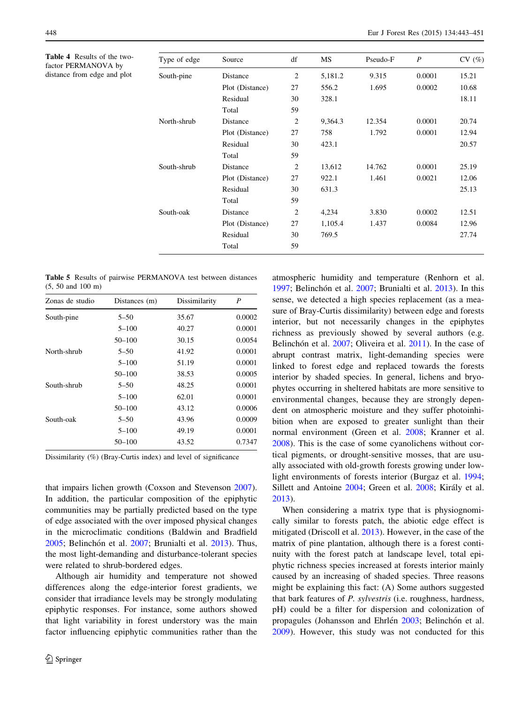Table 4 Results of the twofactor PERMANOVA by distance from edge and plot

| Type of edge | Source          | df             | MS      | Pseudo-F | $\boldsymbol{P}$ | CV(%) |
|--------------|-----------------|----------------|---------|----------|------------------|-------|
| South-pine   | Distance        | $\overline{2}$ | 5,181.2 | 9.315    | 0.0001           | 15.21 |
|              | Plot (Distance) | 27             | 556.2   | 1.695    | 0.0002           | 10.68 |
|              | Residual        | 30             | 328.1   |          |                  | 18.11 |
|              | Total           | 59             |         |          |                  |       |
| North-shrub  | Distance        | $\overline{2}$ | 9,364.3 | 12.354   | 0.0001           | 20.74 |
|              | Plot (Distance) | 27             | 758     | 1.792    | 0.0001           | 12.94 |
|              | Residual        | 30             | 423.1   |          |                  | 20.57 |
|              | Total           | 59             |         |          |                  |       |
| South-shrub  | Distance        | $\overline{2}$ | 13,612  | 14.762   | 0.0001           | 25.19 |
|              | Plot (Distance) | 27             | 922.1   | 1.461    | 0.0021           | 12.06 |
|              | Residual        | 30             | 631.3   |          |                  | 25.13 |
|              | Total           | 59             |         |          |                  |       |
| South-oak    | Distance        | $\overline{2}$ | 4,234   | 3.830    | 0.0002           | 12.51 |
|              | Plot (Distance) | 27             | 1,105.4 | 1.437    | 0.0084           | 12.96 |
|              | Residual        | 30             | 769.5   |          |                  | 27.74 |
|              | Total           | 59             |         |          |                  |       |

Table 5 Results of pairwise PERMANOVA test between distances (5, 50 and 100 m)

| Zonas de studio | Distances (m) | Dissimilarity | P      |
|-----------------|---------------|---------------|--------|
| South-pine      | $5 - 50$      | 35.67         | 0.0002 |
|                 | $5 - 100$     | 40.27         | 0.0001 |
|                 | $50 - 100$    | 30.15         | 0.0054 |
| North-shrub     | $5 - 50$      | 41.92         | 0.0001 |
|                 | $5 - 100$     | 51.19         | 0.0001 |
|                 | $50 - 100$    | 38.53         | 0.0005 |
| South-shrub     | $5 - 50$      | 48.25         | 0.0001 |
|                 | $5 - 100$     | 62.01         | 0.0001 |
|                 | $50 - 100$    | 43.12         | 0.0006 |
| South-oak       | $5 - 50$      | 43.96         | 0.0009 |
|                 | $5 - 100$     | 49.19         | 0.0001 |
|                 | $50 - 100$    | 43.52         | 0.7347 |

Dissimilarity (%) (Bray-Curtis index) and level of significance

that impairs lichen growth (Coxson and Stevenson [2007](#page-8-0)). In addition, the particular composition of the epiphytic communities may be partially predicted based on the type of edge associated with the over imposed physical changes in the microclimatic conditions (Baldwin and Bradfield  $2005$ ; Belinchón et al.  $2007$ ; Brunialti et al.  $2013$ ). Thus, the most light-demanding and disturbance-tolerant species were related to shrub-bordered edges.

Although air humidity and temperature not showed differences along the edge-interior forest gradients, we consider that irradiance levels may be strongly modulating epiphytic responses. For instance, some authors showed that light variability in forest understory was the main factor influencing epiphytic communities rather than the

<span id="page-5-0"></span>448 Eur J Forest Res (2015) 134:443–451

atmospheric humidity and temperature (Renhorn et al. [1997](#page-8-0); Belinchón et al.  $2007$ ; Brunialti et al.  $2013$ ). In this sense, we detected a high species replacement (as a measure of Bray-Curtis dissimilarity) between edge and forests interior, but not necessarily changes in the epiphytes richness as previously showed by several authors (e.g. Belinchón et al. [2007;](#page-7-0) Oliveira et al. [2011](#page-8-0)). In the case of abrupt contrast matrix, light-demanding species were linked to forest edge and replaced towards the forests interior by shaded species. In general, lichens and bryophytes occurring in sheltered habitats are more sensitive to environmental changes, because they are strongly dependent on atmospheric moisture and they suffer photoinhibition when are exposed to greater sunlight than their normal environment (Green et al. [2008;](#page-8-0) Kranner et al. [2008](#page-8-0)). This is the case of some cyanolichens without cortical pigments, or drought-sensitive mosses, that are usually associated with old-growth forests growing under lowlight environments of forests interior (Burgaz et al. [1994](#page-7-0); Sillett and Antoine [2004](#page-8-0); Green et al. [2008;](#page-8-0) Király et al. [2013](#page-8-0)).

When considering a matrix type that is physiognomically similar to forests patch, the abiotic edge effect is mitigated (Driscoll et al. [2013\)](#page-8-0). However, in the case of the matrix of pine plantation, although there is a forest continuity with the forest patch at landscape level, total epiphytic richness species increased at forests interior mainly caused by an increasing of shaded species. Three reasons might be explaining this fact: (A) Some authors suggested that bark features of P. sylvestris (i.e. roughness, hardness, pH) could be a filter for dispersion and colonization of propagules (Johansson and Ehrlén [2003](#page-8-0); Belinchón et al. [2009](#page-7-0)). However, this study was not conducted for this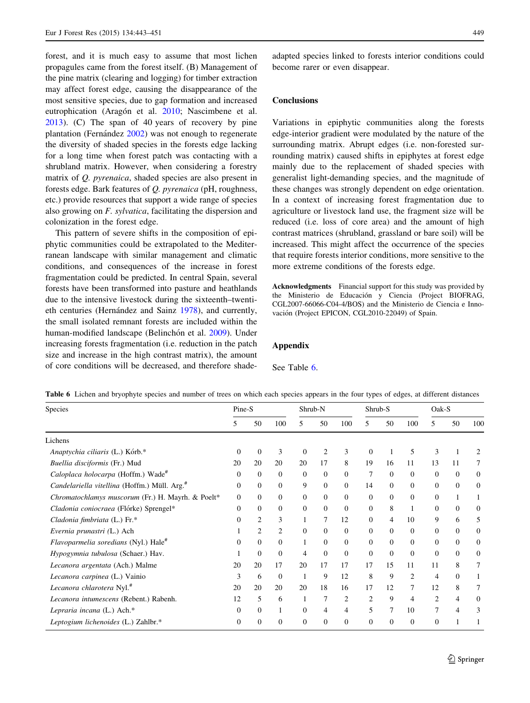<span id="page-6-0"></span>forest, and it is much easy to assume that most lichen propagules came from the forest itself. (B) Management of the pine matrix (clearing and logging) for timber extraction may affect forest edge, causing the disappearance of the most sensitive species, due to gap formation and increased eutrophication (Aragón et al. [2010](#page-7-0); Nascimbene et al. [2013\)](#page-8-0). (C) The span of 40 years of recovery by pine plantation (Fernández [2002\)](#page-8-0) was not enough to regenerate the diversity of shaded species in the forests edge lacking for a long time when forest patch was contacting with a shrubland matrix. However, when considering a forestry matrix of Q. pyrenaica, shaded species are also present in forests edge. Bark features of Q. pyrenaica (pH, roughness, etc.) provide resources that support a wide range of species also growing on F. sylvatica, facilitating the dispersion and colonization in the forest edge.

This pattern of severe shifts in the composition of epiphytic communities could be extrapolated to the Mediterranean landscape with similar management and climatic conditions, and consequences of the increase in forest fragmentation could be predicted. In central Spain, several forests have been transformed into pasture and heathlands due to the intensive livestock during the sixteenth–twenti-eth centuries (Hernández and Sainz [1978](#page-8-0)), and currently, the small isolated remnant forests are included within the human-modified landscape (Belinchón et al. [2009](#page-7-0)). Under increasing forests fragmentation (i.e. reduction in the patch size and increase in the high contrast matrix), the amount of core conditions will be decreased, and therefore shadeadapted species linked to forests interior conditions could become rarer or even disappear.

# Conclusions

Variations in epiphytic communities along the forests edge-interior gradient were modulated by the nature of the surrounding matrix. Abrupt edges (i.e. non-forested surrounding matrix) caused shifts in epiphytes at forest edge mainly due to the replacement of shaded species with generalist light-demanding species, and the magnitude of these changes was strongly dependent on edge orientation. In a context of increasing forest fragmentation due to agriculture or livestock land use, the fragment size will be reduced (i.e. loss of core area) and the amount of high contrast matrices (shrubland, grassland or bare soil) will be increased. This might affect the occurrence of the species that require forests interior conditions, more sensitive to the more extreme conditions of the forests edge.

Acknowledgments Financial support for this study was provided by the Ministerio de Educación y Ciencia (Project BIOFRAG, CGL2007-66066-C04-4/BOS) and the Ministerio de Ciencia e Innovación (Project EPICON, CGL2010-22049) of Spain.

## Appendix

See Table 6.

| Table 6 Lichen and bryophyte species and number of trees on which each species appears in the four types of edges, at different distances |  |
|-------------------------------------------------------------------------------------------------------------------------------------------|--|
|-------------------------------------------------------------------------------------------------------------------------------------------|--|

| Species                                                  |          | Pine-S           |                |                | Shrub-N        |                |                | Shrub-S  |                |                | Oak-S          |                |  |
|----------------------------------------------------------|----------|------------------|----------------|----------------|----------------|----------------|----------------|----------|----------------|----------------|----------------|----------------|--|
|                                                          | 5        | 50               | 100            | 5.             | 50             | 100            | 5.             | 50       | 100            | 5.             | 50             | 100            |  |
| Lichens                                                  |          |                  |                |                |                |                |                |          |                |                |                |                |  |
| Anaptychia ciliaris (L.) Kórb.*                          | $\Omega$ | $\overline{0}$   | 3              | $\theta$       | $\overline{c}$ | 3              | $\Omega$       |          | 5              | 3              | 1              |                |  |
| Buellia disciformis (Fr.) Mud                            | 20       | 20               | 20             | 20             | 17             | 8              | 19             | 16       | 11             | 13             | 11             |                |  |
| Caloplaca holocarpa (Hoffm.) Wade <sup>#</sup>           | $\Omega$ | $\overline{0}$   | $\mathbf{0}$   | $\mathbf{0}$   | $\mathbf{0}$   | $\Omega$       | 7              | $\Omega$ | $\mathbf{0}$   | $\mathbf{0}$   | $\mathbf{0}$   | $\overline{0}$ |  |
| Candelariella vitellina (Hoffm.) Müll. Arg. <sup>#</sup> | $\bf{0}$ | $\boldsymbol{0}$ | $\overline{0}$ | 9              | $\overline{0}$ | $\Omega$       | 14             | $\Omega$ | $\mathbf{0}$   | $\mathbf{0}$   | $\mathbf{0}$   | $\overline{0}$ |  |
| Chromatochlamys muscorum (Fr.) H. Mayrh. & Poelt*        | $\Omega$ | $\mathbf{0}$     | $\Omega$       | $\mathbf{0}$   | $\Omega$       | $\Omega$       | $\Omega$       | $\Omega$ | $\Omega$       | $\mathbf{0}$   | 1              |                |  |
| Cladonia coniocraea (Flórke) Sprengel*                   | 0        | $\Omega$         | $\Omega$       | $\Omega$       | $\Omega$       | $\Omega$       | $\Omega$       | 8        | 1              | $\Omega$       | $\Omega$       | $\Omega$       |  |
| Cladonia fimbriata (L.) Fr.*                             | 0        | $\overline{2}$   | 3              | 1              | 7              | 12             | $\Omega$       | 4        | 10             | 9              | 6              | 5              |  |
| Evernia prunastri (L.) Ach                               |          | $\overline{2}$   | 2              | $\mathbf{0}$   | $\Omega$       | $\Omega$       | $\Omega$       | $\Omega$ | $\mathbf{0}$   | $\mathbf{0}$   | $\mathbf{0}$   | $\overline{0}$ |  |
| Flavoparmelia soredians (Nyl.) Hale <sup>#</sup>         | 0        | $\mathbf{0}$     | $\Omega$       |                | $\Omega$       | $\Omega$       | $\Omega$       | $\Omega$ | $\Omega$       | $\mathbf{0}$   | $\mathbf{0}$   | $\overline{0}$ |  |
| Hypogymnia tubulosa (Schaer.) Hav.                       |          | $\overline{0}$   | $\Omega$       | $\overline{4}$ | $\Omega$       | $\Omega$       | $\Omega$       | $\Omega$ | $\Omega$       | $\Omega$       | $\theta$       | $\overline{0}$ |  |
| Lecanora argentata (Ach.) Malme                          | 20       | 20               | 17             | 20             | 17             | 17             | 17             | 15       | 11             | 11             | 8              |                |  |
| Lecanora carpinea (L.) Vainio                            | 3        | 6                | $\Omega$       | 1              | 9              | 12             | 8              | 9        | $\overline{c}$ | $\overline{4}$ | $\mathbf{0}$   |                |  |
| Lecanora chlarotera Nyl. <sup>#</sup>                    | 20       | 20               | 20             | 20             | 18             | 16             | 17             | 12       | 7              | 12             | 8              |                |  |
| Lecanora intumescens (Rebent.) Rabenh.                   | 12       | 5                | 6              | 1              | 7              | $\overline{2}$ | $\overline{2}$ | 9        | $\overline{4}$ | $\overline{2}$ | $\overline{4}$ | $\Omega$       |  |
| Lepraria incana (L.) Ach.*                               | $\Omega$ | $\overline{0}$   |                | $\Omega$       | 4              | 4              | 5              | $\tau$   | 10             | $\tau$         | $\overline{4}$ | 3              |  |
| Leptogium lichenoides (L.) Zahlbr.*                      | 0        | $\theta$         | $\theta$       | $\overline{0}$ | $\Omega$       | $\theta$       | $\Omega$       | $\Omega$ | $\theta$       | $\Omega$       |                |                |  |
|                                                          |          |                  |                |                |                |                |                |          |                |                |                |                |  |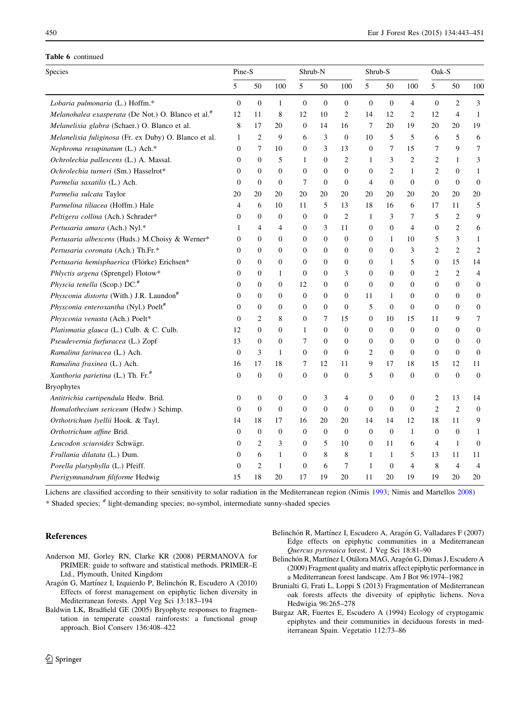#### <span id="page-7-0"></span>Table 6 continued

| Species                                                        |                  | Pine-S           |                  | Shrub-N          |                  |                  | Shrub-S          |                  |                  | Oak-S            |                  |                  |
|----------------------------------------------------------------|------------------|------------------|------------------|------------------|------------------|------------------|------------------|------------------|------------------|------------------|------------------|------------------|
|                                                                | 5                | 50               | 100              | 5                | 50               | 100              | 5                | 50               | 100              | 5                | 50               | 100              |
| Lobaria pulmonaria (L.) Hoffm.*                                | $\Omega$         | $\mathbf{0}$     | 1                | $\mathbf{0}$     | $\mathbf{0}$     | $\overline{0}$   | $\mathbf{0}$     | $\mathbf{0}$     | $\overline{4}$   | $\mathbf{0}$     | $\overline{c}$   | $\mathfrak{Z}$   |
| Melanohalea exasperata (De Not.) O. Blanco et al. <sup>#</sup> | 12               | 11               | 8                | 12               | 10               | $\overline{c}$   | 14               | 12               | $\overline{c}$   | 12               | $\overline{4}$   | $\mathbf{1}$     |
| Melanelixia glabra (Schaer.) O. Blanco et al.                  | 8                | 17               | 20               | $\boldsymbol{0}$ | 14               | 16               | $\tau$           | 20               | 19               | 20               | 20               | 19               |
| Melanelixia fuliginosa (Fr. ex Duby) O. Blanco et al.          | 1                | $\overline{c}$   | 9                | 6                | 3                | $\mathbf{0}$     | 10               | 5                | 5                | 6                | 5                | 6                |
| Nephroma resupinatum (L.) Ach.*                                | $\mathbf{0}$     | 7                | 10               | $\mathbf{0}$     | 3                | 13               | $\mathbf{0}$     | 7                | 15               | 7                | 9                | 7                |
| Ochrolechia pallescens (L.) A. Massal.                         | $\mathbf{0}$     | $\boldsymbol{0}$ | 5                | $\mathbf{1}$     | $\overline{0}$   | 2                | 1                | 3                | $\overline{c}$   | 2                | $\mathbf{1}$     | 3                |
| Ochrolechia turneri (Sm.) Hasselrot*                           | $\mathbf{0}$     | $\boldsymbol{0}$ | $\boldsymbol{0}$ | $\boldsymbol{0}$ | $\overline{0}$   | $\mathbf{0}$     | $\mathbf{0}$     | 2                | $\mathbf{1}$     | 2                | $\boldsymbol{0}$ | $\mathbf{1}$     |
| Parmelia saxatilis (L.) Ach.                                   | $\Omega$         | $\mathbf{0}$     | $\mathbf{0}$     | 7                | $\mathbf{0}$     | $\mathbf{0}$     | $\overline{4}$   | $\overline{0}$   | $\mathbf{0}$     | $\mathbf{0}$     | $\overline{0}$   | $\boldsymbol{0}$ |
| Parmelia sulcata Taylor                                        | 20               | 20               | 20               | 20               | 20               | 20               | 20               | 20               | 20               | 20               | 20               | 20               |
| Parmelina tiliacea (Hoffm.) Hale                               | 4                | 6                | 10               | 11               | 5                | 13               | 18               | 16               | 6                | 17               | 11               | 5                |
| Peltigera collina (Ach.) Schrader*                             | $\boldsymbol{0}$ | $\boldsymbol{0}$ | $\boldsymbol{0}$ | $\boldsymbol{0}$ | 0                | 2                | $\mathbf{1}$     | 3                | 7                | 5                | $\overline{c}$   | 9                |
| Pertusaria amara (Ach.) Nyl.*                                  | $\mathbf{1}$     | $\overline{4}$   | $\overline{4}$   | $\mathbf{0}$     | 3                | 11               | $\Omega$         | $\overline{0}$   | $\overline{4}$   | $\mathbf{0}$     | $\overline{c}$   | 6                |
| Pertusaria albescens (Huds.) M.Choisy & Werner*                | $\mathbf{0}$     | $\overline{0}$   | $\boldsymbol{0}$ | $\mathbf{0}$     | $\overline{0}$   | $\mathbf{0}$     | $\mathbf{0}$     | 1                | 10               | 5                | 3                | $\mathbf{1}$     |
| Pertusaria coronata (Ach.) Th.Fr.*                             | $\mathbf{0}$     | $\mathbf{0}$     | $\boldsymbol{0}$ | $\boldsymbol{0}$ | $\overline{0}$   | $\mathbf{0}$     | $\mathbf{0}$     | 0                | 3                | $\overline{c}$   | $\overline{c}$   | $\overline{c}$   |
| Pertusaria hemisphaerica (Flörke) Erichsen*                    | 0                | $\mathbf{0}$     | $\mathbf{0}$     | $\mathbf{0}$     | $\overline{0}$   | $\Omega$         | $\Omega$         | 1                | 5                | $\mathbf{0}$     | 15               | 14               |
| Phlyctis argena (Sprengel) Flotow*                             | $\mathbf{0}$     | $\mathbf{0}$     | $\mathbf{1}$     | $\mathbf{0}$     | $\overline{0}$   | 3                | $\Omega$         | $\overline{0}$   | $\boldsymbol{0}$ | $\overline{c}$   | $\overline{2}$   | $\overline{4}$   |
| Physcia tenella (Scop.) DC. <sup>#</sup>                       | $\mathbf{0}$     | $\mathbf{0}$     | $\boldsymbol{0}$ | 12               | $\overline{0}$   | $\mathbf{0}$     | $\mathbf{0}$     | 0                | $\boldsymbol{0}$ | $\mathbf{0}$     | $\mathbf{0}$     | $\boldsymbol{0}$ |
| Physconia distorta (With.) J.R. Laundon <sup>#</sup>           | $\boldsymbol{0}$ | $\boldsymbol{0}$ | $\boldsymbol{0}$ | $\boldsymbol{0}$ | 0                | $\mathbf{0}$     | 11               | 1                | $\boldsymbol{0}$ | $\boldsymbol{0}$ | $\boldsymbol{0}$ | $\boldsymbol{0}$ |
| Physconia enteroxantha (Nyl.) Poelt <sup>#</sup>               | $\mathbf{0}$     | $\mathbf{0}$     | $\mathbf{0}$     | $\mathbf{0}$     | $\mathbf{0}$     | $\mathbf{0}$     | 5                | 0                | $\mathbf{0}$     | $\mathbf{0}$     | $\mathbf{0}$     | $\boldsymbol{0}$ |
| Physconia venusta (Ach.) Poelt*                                | $\mathbf{0}$     | $\overline{c}$   | 8                | $\mathbf{0}$     | 7                | 15               | $\mathbf{0}$     | 10               | 15               | 11               | 9                | 7                |
| Platismatia glauca (L.) Culb. & C. Culb.                       | 12               | $\boldsymbol{0}$ | $\boldsymbol{0}$ | $\mathbf{1}$     | 0                | $\mathbf{0}$     | $\mathbf{0}$     | 0                | $\boldsymbol{0}$ | $\boldsymbol{0}$ | $\mathbf{0}$     | $\boldsymbol{0}$ |
| Pseudevernia furfuracea (L.) Zopf                              | 13               | $\mathbf{0}$     | $\mathbf{0}$     | 7                | $\mathbf{0}$     | $\Omega$         | $\mathbf{0}$     | 0                | $\mathbf{0}$     | $\mathbf{0}$     | $\mathbf{0}$     | $\mathbf{0}$     |
| Ramalina farinacea (L.) Ach.                                   | $\mathbf{0}$     | 3                | $\mathbf{1}$     | $\mathbf{0}$     | $\mathbf{0}$     | $\mathbf{0}$     | $\overline{c}$   | $\overline{0}$   | $\mathbf{0}$     | $\mathbf{0}$     | $\mathbf{0}$     | $\mathbf{0}$     |
| Ramalina fraxinea (L.) Ach.                                    | 16               | 17               | 18               | 7                | 12               | 11               | 9                | 17               | 18               | 15               | 12               | 11               |
| Xanthoria parietina (L.) Th. Fr. <sup>#</sup>                  | $\boldsymbol{0}$ | $\boldsymbol{0}$ | $\boldsymbol{0}$ | $\boldsymbol{0}$ | $\boldsymbol{0}$ | $\boldsymbol{0}$ | 5                | 0                | $\boldsymbol{0}$ | $\boldsymbol{0}$ | $\mathbf{0}$     | $\boldsymbol{0}$ |
| <b>Bryophytes</b>                                              |                  |                  |                  |                  |                  |                  |                  |                  |                  |                  |                  |                  |
| Antitrichia curtipendula Hedw. Brid.                           | $\mathbf{0}$     | $\boldsymbol{0}$ | $\boldsymbol{0}$ | $\boldsymbol{0}$ | 3                | 4                | $\boldsymbol{0}$ | $\boldsymbol{0}$ | $\boldsymbol{0}$ | $\overline{c}$   | 13               | 14               |
| Homalothecium sericeum (Hedw.) Schimp.                         | $\mathbf{0}$     | $\boldsymbol{0}$ | $\mathbf{0}$     | $\mathbf{0}$     | $\mathbf{0}$     | $\mathbf{0}$     | $\mathbf{0}$     | 0                | $\mathbf{0}$     | $\overline{c}$   | $\overline{c}$   | $\mathbf{0}$     |
| Orthotrichum lyellii Hook. & Tayl.                             | 14               | 18               | 17               | 16               | 20               | 20               | 14               | 14               | 12               | 18               | 11               | 9                |
| Orthotrichum affine Brid.                                      | $\mathbf{0}$     | $\mathbf{0}$     | $\mathbf{0}$     | $\mathbf{0}$     | $\boldsymbol{0}$ | $\mathbf{0}$     | $\mathbf{0}$     | $\mathbf{0}$     | $\mathbf{1}$     | $\mathbf{0}$     | $\mathbf{0}$     | $\mathbf{1}$     |
| Leucodon sciuroides Schwägr.                                   | $\boldsymbol{0}$ | $\overline{c}$   | 3                | $\mathbf{0}$     | 5                | 10               | $\mathbf{0}$     | 11               | 6                | 4                | $\mathbf{1}$     | $\mathbf{0}$     |
| Frullania dilatata (L.) Dum.                                   | $\boldsymbol{0}$ | 6                | $\mathbf{1}$     | $\boldsymbol{0}$ | 8                | 8                | $\mathbf{1}$     | 1                | 5                | 13               | 11               | 11               |
| Porella platyphylla (L.) Pfeiff.                               | $\mathbf{0}$     | $\overline{c}$   | 1                | $\mathbf{0}$     | 6                | 7                | 1                | $\mathbf{0}$     | $\overline{4}$   | 8                | $\overline{4}$   | 4                |
| Pterigymnandrum filiforme Hedwig                               | 15               | 18               | 20               | 17               | 19               | 20               | 11               | 20               | 19               | 19               | 20               | 20               |

Lichens are classified according to their sensitivity to solar radiation in the Mediterranean region (Nimis [1993](#page-8-0); Nimis and Martellos [2008](#page-8-0))

\* Shaded species; # light-demanding species; no-symbol, intermediate sunny-shaded species

# References

- Anderson MJ, Gorley RN, Clarke KR (2008) PERMANOVA for PRIMER: guide to software and statistical methods. PRIMER–E Ltd., Plymouth, United Kingdom
- Aragón G, Martínez I, Izquierdo P, Belinchón R, Escudero A (2010) Effects of forest management on epiphytic lichen diversity in Mediterranean forests. Appl Veg Sci 13:183–194
- Baldwin LK, Bradfield GE (2005) Bryophyte responses to fragmentation in temperate coastal rainforests: a functional group approach. Biol Conserv 136:408–422
- Belinchón R, Martínez I, Escudero A, Aragón G, Valladares F (2007) Edge effects on epiphytic communities in a Mediterranean Quercus pyrenaica forest. J Veg Sci 18:81–90
- Belinchón R, Martínez I, Otálora MAG, Aragón G, Dimas J, Escudero A (2009) Fragment quality and matrix affect epiphytic performance in a Mediterranean forest landscape. Am J Bot 96:1974–1982
- Brunialti G, Frati L, Loppi S (2013) Fragmentation of Mediterranean oak forests affects the diversity of epiphytic lichens. Nova Hedwigia 96:265–278
- Burgaz AR, Fuertes E, Escudero A (1994) Ecology of cryptogamic epiphytes and their communities in deciduous forests in mediterranean Spain. Vegetatio 112:73–86